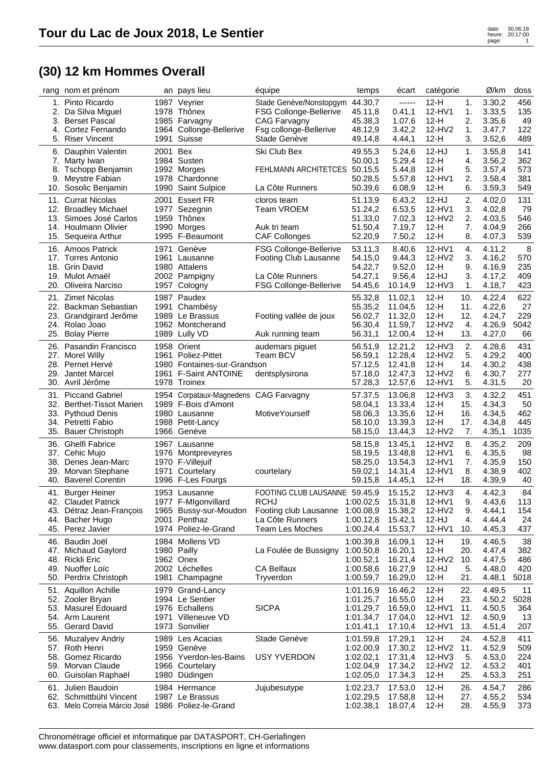| rang       | nom et prénom                                     | an           | pays lieu                                    | équipe                               | temps                | écart              | catégorie        |           | Ø/km             | doss        |
|------------|---------------------------------------------------|--------------|----------------------------------------------|--------------------------------------|----------------------|--------------------|------------------|-----------|------------------|-------------|
|            | 1. Pinto Ricardo                                  |              | 1987 Veyrier                                 | Stade Genève/Nonstopgym              | 44.30,7              | ------             | $12-H$           | 1.        | 3.30,2           | 456         |
| 2.         | Da Silva Miguel                                   |              | 1978 Thônex                                  | <b>FSG Collonge-Bellerive</b>        | 45.11,8              | 0.41,1             | 12-HV1           | 1.        | 3.33,5           | 135         |
| 3.         | <b>Berset Pascal</b>                              |              | 1985 Farvagny                                | CAG Farvagny                         | 45.38,3              | 1.07,6             | $12-H$           | 2.        | 3.35,6           | 49          |
| 4.         | Cortez Fernando                                   |              | 1964 Collonge-Bellerive                      | Fsg collonge-Bellerive               | 48.12,9              | 3.42,2             | 12-HV2           | 1.        | 3.47,7           | 122         |
|            | 5. Riser Vincent                                  | 1991         | Suisse                                       | Stade Genève                         | 49.14,8              | 4.44,1             | $12-H$           | 3.        | 3.52,6           | 489         |
| 6.         | Dauphin Valentin                                  | 2001 Bex     |                                              | Ski Club Bex                         | 49.55,3              | 5.24,6             | 12-HJ            | 1.        | 3.55,8           | 141         |
|            | 7. Marty Iwan                                     |              | 1984 Susten                                  |                                      | 50.00,1              | 5.29,4             | $12-H$           | 4.        | 3.56,2           | 362         |
|            | 8. Tschopp Benjamin                               |              | 1992 Morges                                  | FEHLMANN ARCHITETCES 50.15,5         |                      | 5.44,8             | $12-H$           | 5.        | 3.57,4           | 573         |
| 9.         | Meystre Fabian                                    |              | 1978 Chardonne                               |                                      | 50.28,5              | 5.57,8             | 12-HV1           | 2.        | 3.58,4           | 381         |
|            | 10. Sosolic Benjamin                              |              | 1990 Saint Sulpice                           | La Côte Runners                      | 50.39,6              | 6.08,9             | $12-H$           | 6.        | 3.59,3           | 549         |
| 11.        | <b>Currat Nicolas</b>                             | 2001         | <b>Essert FR</b>                             | cloros team                          | 51.13,9              | 6.43,2             | $12-HJ$          | 2.        | 4.02,0           | 131         |
|            | 12. Broadley Michael                              |              | 1977 Sezegnin                                | <b>Team VROEM</b>                    | 51.24,2              | 6.53,5             | 12-HV1           | 3.        | 4.02,8           | 79          |
|            | 13. Simoes José Carlos                            |              | 1959 Thônex                                  |                                      | 51.33,0              | 7.02,3             | 12-HV2           | 2.        | 4.03,5           | 546         |
|            | 14. Houlmann Olivier                              | 1990         | Morges                                       | Auk tri team                         | 51.50,4              | 7.19,7             | $12-H$           | 7.        | 4.04,9           | 266         |
| 15.        | Sequeira Arthur                                   |              | 1995 F-Beaumont                              | <b>CAF Collonges</b>                 | 52.20,9              | 7.50,2             | $12-H$           | 8.        | 4.07,3           | 539         |
|            | 16. Amoos Patrick                                 | 1971         | Genève                                       | FSG Collonge-Bellerive               | 53.11,3              | 8.40,6             | 12-HV1           | 4.        | 4.11,2           | 8           |
|            | 17. Torres Antonio                                |              | 1961 Lausanne                                | <b>Footing Club Lausanne</b>         | 54.15,0              | 9.44,3             | 12-HV2           | 3.        | 4.16,2           | 570         |
| 18.        | <b>Grin David</b>                                 |              | 1980 Attalens                                |                                      | 54.22,7              | 9.52,0             | $12-H$           | 9.        | 4.16,9           | 235         |
|            | 19. Mulot Amaël                                   |              | 2002 Pampigny                                | La Côte Runners                      | 54.27,1              | 9.56,4             | $12-HJ$          | 3.        | 4.17,2           | 409         |
| 20.        | Oliveira Narciso                                  |              | 1957 Cologny                                 | FSG Collonge-Bellerive               | 54.45,6              | 10.14,9            | 12-HV3           | 1.        | 4.18,7           | 423         |
|            | 21. Zimet Nicolas                                 |              | 1987 Paudex                                  |                                      | 55.32,8              | 11.02,1            | $12-H$           | 10.       | 4.22,4           | 622         |
| 22.        | Backman Sebastian                                 |              | 1991 Chambésy                                |                                      | 55.35,2              | 11.04,5            | $12-H$           | 11.       | 4.22,6           | 27          |
| 23.        | Grandgirard Jerôme                                |              | 1989 Le Brassus                              | Footing vallée de joux               | 56.02,7              | 11.32,0            | $12-H$           | 12.       | 4.24,7           | 229         |
| 24.        | Rolao Joao                                        |              | 1962 Montcherand                             |                                      | 56.30,4              | 11.59,7            | 12-HV2           | 4.        | 4.26,9           | 5042        |
| 25.        | <b>Bolay Pierre</b>                               |              | 1989 Lully VD                                | Auk running team                     | 56.31,1              | 12.00,4            | $12-H$           | 13.       | 4.27,0           | 66          |
| 26.        | Pasandin Francisco                                |              | 1958 Orient                                  | audemars piguet                      | 56.51,9              | 12.21,2            | 12-HV3           | 2.        | 4.28,6           | 431         |
|            | 27. Morel Willy                                   |              | 1961 Poliez-Pittet                           | Team BCV                             | 56.59,1              | 12.28,4            | 12-HV2           | 5.        | 4.29,2           | 400         |
| 28.        | Pernet Hervé                                      |              | 1980 Fontaines-sur-Grandson                  |                                      | 57.12,5              | 12.41,8            | $12-H$           | 14.       | 4.30,2           | 438         |
| 29.        | Jantet Marcel                                     |              | 1961 F-Saint ANTOINE                         | dentsplysirona                       | 57.18,0              | 12.47,3            | 12-HV2           | 6.        | 4.30,7           | 277         |
|            | 30. Avril Jérôme                                  |              | 1978 Troinex                                 |                                      | 57.28,3              | 12.57,6            | 12-HV1           | 5.        | 4.31,5           | 20          |
| 31.        | <b>Piccand Gabriel</b>                            |              | 1954 Corpataux-Magnedens CAG Farvagny        |                                      | 57.37,5              | 13.06,8            | $12-HV3$         | 3.        | 4.32,2           | 451         |
| 32.        | <b>Berthet-Tissot Marien</b>                      |              | 1989 F-Bois d'Amont                          |                                      | 58.04,1              | 13.33,4            | $12-H$           | 15.       | 4.34,3           | 50          |
| 33.        | <b>Pythoud Denis</b>                              |              | 1980 Lausanne                                | <b>MotiveYourself</b>                | 58.06,3              | 13.35,6            | $12-H$           | 16.       | 4.34,5           | 462         |
|            | 34. Petretti Fabio<br>35. Bauer Christoph         |              | 1988 Petit-Lancy<br>1966 Genève              |                                      | 58.10,0<br>58.15,0   | 13.39,3<br>13.44,3 | $12-H$<br>12-HV2 | 17.<br>7. | 4.34,8<br>4.35,1 | 445<br>1035 |
|            |                                                   |              |                                              |                                      |                      |                    |                  |           |                  |             |
| 36.        | <b>Ghelfi Fabrice</b>                             |              | 1967 Lausanne                                |                                      | 58.15,8              | 13.45,1            | 12-HV2           | 8.        | 4.35,2           | 209         |
|            | 37. Cehic Mujo                                    |              | 1976 Montpreveyres                           |                                      | 58.19,5              | 13.48,8            | 12-HV1           | 6.<br>7.  | 4.35,5           | 98          |
| 38.<br>39. | Denes Jean-Marc<br>Morvan Stephane                | 1970<br>1971 | F-Villejuif<br>Courtelary                    | courtelary                           | 58.25,0<br>59.02,1   | 13.54,3<br>14.31,4 | 12-HV1<br>12-HV1 | 8.        | 4.35,9<br>4.38,9 | 150<br>402  |
| 40.        | <b>Baverel Corentin</b>                           |              | 1996 F-Les Fourgs                            |                                      | 59.15,8              | 14.45,1            | $12-H$           | 18.       | 4.39,9           | 40          |
|            |                                                   |              |                                              |                                      |                      |                    |                  |           |                  |             |
| 41.        | <b>Burger Heiner</b>                              |              | 1953 Lausanne                                | FOOTING CLUB LAUSANNE                | 59.45.9<br>1:00.02,5 | 15.15,2<br>15.31,8 | 12-HV3           | 4.        | 4.42.3           | 84          |
|            | 42. Claudet Patrick<br>43. Détraz Jean-François   |              | 1977 F-MIgonvillard<br>1965 Bussy-sur-Moudon | <b>RCHJ</b><br>Footing club Lausanne | 1:00.08,9            | 15.38,2            | 12-HV1<br>12-HV2 | 9.<br>9.  | 4.43,6<br>4.44,1 | 113<br>154  |
|            | 44. Bacher Hugo                                   |              | 2001 Penthaz                                 | La Côte Runners                      | 1:00.12,8            | 15.42,1            | 12-HJ            | 4.        | 4.44,4           | 24          |
|            | 45. Perez Javier                                  |              | 1974 Poliez-le-Grand                         | Team Les Moches                      | 1:00.24,4            | 15.53,7            | $12-HV1$         | 10.       | 4.45,3           | 437         |
|            | 46. Baudin Joël                                   |              | 1984 Mollens VD                              |                                      | 1:00.39,8            | 16.09,1            | $12-H$           | 19.       | 4.46,5           | 38          |
|            | 47. Michaud Gaylord                               |              | 1980 Pailly                                  | La Foulée de Bussigny                | 1:00.50,8            | 16.20,1            | $12-H$           | 20.       | 4.47,4           | 382         |
|            | 48. Rickli Eric                                   |              | 1962 Onex                                    |                                      | 1:00.52,1            | 16.21,4            | 12-HV2           | 10.       | 4.47,5           | 486         |
|            | 49. Nuoffer Loïc                                  |              | 2002 Léchelles                               | CA Belfaux                           | 1:00.58,6            | 16.27,9            | 12-HJ            | 5.        | 4.48,0           | 420         |
|            | 50. Perdrix Christoph                             |              | 1981 Champagne                               | Tryverdon                            | 1:00.59,7            | 16.29,0            | $12-H$           | 21.       | 4.48,1           | 5018        |
|            | 51. Aquillon Achille                              |              | 1979 Grand-Lancy                             |                                      | 1:01.16,9            | 16.46,2            | $12-H$           | 22.       | 4.49,5           | 11          |
|            | 52. Zooler Bryan                                  |              | 1994 Le Sentier                              |                                      | 1:01.25,7            | 16.55,0            | $12-H$           | 23.       | 4.50,2           | 5028        |
|            | 53. Masurel Edouard                               |              | 1976 Echallens                               | <b>SICPA</b>                         | 1:01.29,7            | 16.59,0            | 12-HV1           | 11.       | 4.50,5           | 364         |
|            | 54. Arm Laurent                                   |              | 1971 Villeneuve VD                           |                                      | 1:01.34,7            | 17.04,0            | $12-HV1$         | 12.       | 4.50,9           | 13          |
|            | 55. Gerard David                                  |              | 1973 Sonvilier                               |                                      | 1:01.41,1            | 17.10,4            | 12-HV1           | 13.       | 4.51,4           | 207         |
|            | 56. Muzalyev Andriy                               |              | 1989 Les Acacias                             | Stade Genève                         | 1:01.59,8            | 17.29,1            | $12-H$           | 24.       | 4.52,8           | 411         |
|            | 57. Roth Henri                                    |              | 1959 Genève                                  |                                      | 1:02.00,9            | 17.30,2            | 12-HV2           | 11.       | 4.52,9           | 509         |
|            | 58. Gomez Ricardo                                 |              | 1956 Yverdon-les-Bains                       | <b>USY YVERDON</b>                   | 1:02.02,1            | 17.31,4            | $12-HV3$         | 5.        | 4.53,0           | 224         |
|            | 59. Morvan Claude                                 |              | 1966 Courtelary                              |                                      | 1:02.04,9            | 17.34,2            | 12-HV2           | 12.       | 4.53,2           | 401         |
|            | 60. Guisolan Raphaël                              |              | 1980 Düdingen                                |                                      | 1:02.05,0            | 17.34,3            | $12-H$           | 25.       | 4.53,3           | 251         |
|            | 61. Julien Baudoin                                |              | 1984 Hermance                                | Jujubesutype                         | 1:02.23,7            | 17.53,0            | $12-H$           | 26.       | 4.54,7           | 286         |
|            | 62. Schmittbühl Vincent                           |              | 1987 Le Brassus                              |                                      | 1:02.29,5            | 17.58,8            | $12-H$           | 27.       | 4.55,2           | 534         |
|            | 63. Melo Correia Márcio José 1986 Poliez-le-Grand |              |                                              |                                      | 1:02.38,1            | 18.07,4            | $12-H$           | 28.       | 4.55,9           | 373         |
|            |                                                   |              |                                              |                                      |                      |                    |                  |           |                  |             |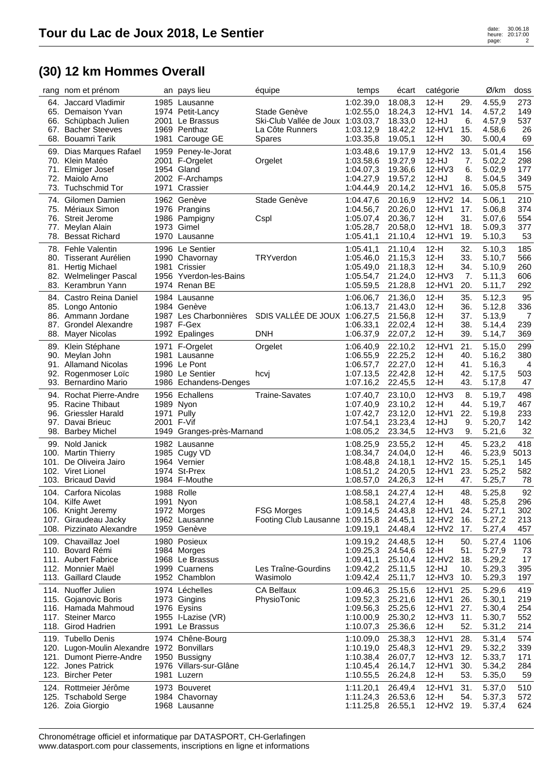| rang | nom et prénom                                  |                          | an pays lieu                            | équipe                                               | temps                  | écart              | catégorie        |            | Ø/km             | doss       |
|------|------------------------------------------------|--------------------------|-----------------------------------------|------------------------------------------------------|------------------------|--------------------|------------------|------------|------------------|------------|
|      | 64. Jaccard Vladimir<br>65. Demaison Yvan      |                          | 1985 Lausanne<br>1974 Petit-Lancy       | Stade Genève                                         | 1:02.39,0<br>1:02.55,0 | 18.08,3<br>18.24,3 | $12-H$<br>12-HV1 | 29.<br>14. | 4.55,9<br>4.57,2 | 273<br>149 |
|      | 66. Schüpbach Julien                           |                          | 2001 Le Brassus                         | Ski-Club Vallée de Joux 1:03.03.7                    |                        | 18.33,0            | 12-HJ            | 6.         | 4.57,9           | 537        |
|      | 67. Bacher Steeves                             |                          | 1969 Penthaz                            | La Côte Runners                                      | 1:03.12,9              | 18.42,2            | 12-HV1           | 15.        | 4.58,6           | 26         |
|      | 68. Bouamri Tarik                              | 1981                     | Carouge GE                              | Spares                                               | 1:03.35,8              | 19.05,1            | $12-H$           | 30.        | 5.00,4           | 69         |
|      | 69. Dias Marques Rafael<br>70. Klein Matéo     |                          | 1959 Peney-le-Jorat<br>2001 F-Orgelet   | Orgelet                                              | 1:03.48,6<br>1:03.58,6 | 19.17,9<br>19.27,9 | 12-HV2<br>12-HJ  | 13.<br>7.  | 5.01,4<br>5.02,2 | 156<br>298 |
|      | 71. Elmiger Josef                              |                          | 1954 Gland                              |                                                      | 1:04.07,3              | 19.36,6            | 12-HV3           | 6.         | 5.02,9           | 177        |
| 72.  | Maiolo Arno                                    |                          | 2002 F-Archamps                         |                                                      | 1:04.27,9              | 19.57,2            | $12-HJ$          | 8.         | 5.04,5           | 349        |
| 73.  | <b>Tuchschmid Tor</b>                          | 1971                     | Crassier                                |                                                      | 1:04.44,9              | 20.14,2            | 12-HV1           | 16.        | 5.05,8           | 575        |
|      | 74. Gilomen Damien                             |                          | 1962 Genève                             | Stade Genève                                         | 1:04.47,6              | 20.16,9            | 12-HV2           | 14.        | 5.06,1           | 210        |
|      | 75. Mériaux Simon                              |                          | 1976 Prangins                           |                                                      | 1:04.56,7              | 20.26,0            | 12-HV1           | 17.        | 5.06,8           | 374        |
|      | 76. Streit Jerome                              |                          | 1986 Pampigny                           | Cspl                                                 | 1:05.07.4              | 20.36,7            | $12-H$<br>12-HV1 | 31.<br>18. | 5.07,6           | 554<br>377 |
| 77.  | Meylan Alain<br>78. Bessat Richard             | 1973                     | Gimel<br>1970 Lausanne                  |                                                      | 1:05.28,7<br>1:05.41,1 | 20.58,0<br>21.10,4 | 12-HV1           | 19.        | 5.09,3<br>5.10,3 | 53         |
|      | 78. Fehle Valentin                             |                          | 1996 Le Sentier                         |                                                      | 1:05.41,1              |                    | $12-H$           | 32.        |                  | 185        |
| 80.  | Tisserant Aurélien                             |                          | 1990 Chavornay                          | TRYverdon                                            | 1:05.46,0              | 21.10,4<br>21.15,3 | $12-H$           | 33.        | 5.10,3<br>5.10,7 | 566        |
|      | 81. Hertig Michael                             |                          | 1981 Crissier                           |                                                      | 1:05.49,0              | 21.18,3            | $12-H$           | 34.        | 5.10,9           | 260        |
|      | 82. Welmelinger Pascal                         | 1956                     | Yverdon-les-Bains                       |                                                      | 1:05.54,7              | 21.24,0            | $12-HV3$         | 7.         | 5.11,3           | 606        |
| 83.  | Kerambrun Yann                                 | 1974                     | Renan BE                                |                                                      | 1:05.59,5              | 21.28,8            | 12-HV1           | 20.        | 5.11,7           | 292        |
| 84.  | Castro Reina Daniel                            |                          | 1984 Lausanne                           |                                                      | 1:06.06,7              | 21.36,0            | $12-H$           | 35.        | 5.12,3           | 95         |
|      | 85. Longo Antonio                              |                          | 1984 Genève                             |                                                      | 1:06.13,7              | 21.43,0            | $12-H$           | 36.        | 5.12,8           | 336        |
|      | 86. Ammann Jordane                             |                          | 1987 Les Charbonnières                  | SDIS VALLÉE DE JOUX 1:06.27,5                        |                        | 21.56,8            | $12-H$           | 37.        | 5.13,9           | 7          |
| 88.  | 87. Grondel Alexandre<br>Mayer Nicolas         |                          | 1987 F-Gex<br>1992 Epalinges            | <b>DNH</b>                                           | 1:06.33,1<br>1:06.37,9 | 22.02,4<br>22.07,2 | $12-H$<br>$12-H$ | 38.<br>39. | 5.14,4<br>5.14,7 | 239<br>369 |
|      |                                                |                          |                                         |                                                      |                        |                    |                  |            |                  |            |
| 89.  | Klein Stéphane<br>90. Meylan John              |                          | 1971 F-Orgelet<br>1981 Lausanne         | Orgelet                                              | 1:06.40,9<br>1:06.55,9 | 22.10,2<br>22.25,2 | 12-HV1<br>$12-H$ | 21.<br>40. | 5.15,0<br>5.16,2 | 299<br>380 |
| 91.  | <b>Allamand Nicolas</b>                        |                          | 1996 Le Pont                            |                                                      | 1:06.57,7              | 22.27,0            | $12-H$           | 41.        | 5.16,3           | 4          |
| 92.  | Rogenmoser Loïc                                |                          | 1980 Le Sentier                         | hcvj                                                 | 1:07.13,5              | 22.42,8            | $12-H$           | 42.        | 5.17,5           | 503        |
|      | 93. Bernardino Mario                           |                          | 1986 Echandens-Denges                   |                                                      | 1:07.16,2              | 22.45,5            | $12-H$           | 43.        | 5.17,8           | 47         |
| 94.  | <b>Rochat Pierre-Andre</b>                     |                          | 1956 Echallens                          | <b>Traine-Savates</b>                                | 1:07.40,7              | 23.10,0            | 12-HV3           | 8.         | 5.19,7           | 498        |
|      | 95. Racine Thibaut                             |                          | 1989 Nyon                               |                                                      | 1:07.40,9              | 23.10,2            | $12-H$           | 44.        | 5.19,7           | 467        |
| 96.  | Griessler Harald<br>Davai Brieuc               | 1971 Pully<br>2001 F-Vif |                                         |                                                      | 1:07.42,7              | 23.12,0            | 12-HV1<br>12-HJ  | 22.<br>9.  | 5.19,8           | 233<br>142 |
| 97.  | 98. Barbey Michel                              |                          | 1949 Granges-près-Marnand               |                                                      | 1:07.54,1<br>1:08.05,2 | 23.23,4<br>23.34,5 | 12-HV3           | 9.         | 5.20,7<br>5.21,6 | 32         |
| 99.  | Nold Janick                                    |                          | 1982 Lausanne                           |                                                      | 1:08.25,9              | 23.55,2            | $12-H$           | 45.        | 5.23,2           | 418        |
| 100. | <b>Martin Thierry</b>                          |                          | 1985 Cugy VD                            |                                                      | 1:08.34,7              | 24.04,0            | $12-H$           | 46.        | 5.23,9           | 5013       |
| 101. | De Oliveira Jairo                              |                          | 1964 Vernier                            |                                                      | 1:08.48,8              | 24.18,1            | $12-HV2$         | 15.        | 5.25,1           | 145        |
|      | 102. Viret Lionel                              |                          | 1974 St-Prex                            |                                                      | 1:08.51,2              | 24.20,5            | 12-HV1           | 23.        | 5.25,2           | 582        |
|      | 103. Bricaud David                             |                          | 1984 F-Mouthe                           |                                                      | 1:08.57,0              | 24.26,3            | $12-H$           | 47.        | 5.25,7           | 78         |
| 104. | Carfora Nicolas                                |                          | 1988 Rolle                              |                                                      | 1:08.58,1              | 24.27,4            | $12-H$           | 48.        | 5.25,8           | 92         |
|      | 104. Kilfe Awet                                |                          | 1991 Nyon<br>1972 Morges                |                                                      | 1:08.58,1<br>1:09.14,5 | 24.27,4<br>24.43,8 | $12-H$<br>12-HV1 | 48.<br>24. | 5.25,8           | 296<br>302 |
|      | 106. Knight Jeremy<br>107. Giraudeau Jacky     |                          | 1962 Lausanne                           | <b>FSG Morges</b><br>Footing Club Lausanne 1:09.15,8 |                        | 24.45,1            | 12-HV2           | 16.        | 5.27,1<br>5.27,2 | 213        |
|      | 108. Pizzinato Alexandre                       |                          | 1959 Genève                             |                                                      | 1:09.19,1              | 24.48,4            | 12-HV2           | 17.        | 5.27,4           | 457        |
|      | 109. Chavaillaz Joel                           |                          | 1980 Posieux                            |                                                      | 1:09.19,2              | 24.48,5            | $12-H$           | 50.        | 5.27,4           | 1106       |
|      | 110. Bovard Rémi                               |                          | 1984 Morges                             |                                                      | 1:09.25,3              | 24.54,6            | $12-H$           | 51.        | 5.27,9           | 73         |
|      | 111. Aubert Fabrice                            |                          | 1968 Le Brassus                         |                                                      | 1:09.41,1              | 25.10,4            | 12-HV2           | 18.        | 5.29,2           | 17         |
|      | 112. Monnier Maël<br>113. Gaillard Claude      |                          | 1999 Cuarnens                           | Les Traîne-Gourdins                                  | 1:09.42,2              | 25.11,5            | 12-HJ            | 10.        | 5.29,3           | 395        |
|      |                                                |                          | 1952 Chamblon                           | Wasimolo                                             | 1:09.42,4              | 25.11,7            | 12-HV3           | 10.        | 5.29,3           | 197        |
|      | 114. Nuoffer Julien<br>115. Gojanovic Boris    |                          | 1974 Léchelles<br>1973 Gingins          | <b>CA Belfaux</b><br>PhysioTonic                     | 1:09.46,3<br>1:09.52,3 | 25.15,6<br>25.21,6 | 12-HV1<br>12-HV1 | 25.<br>26. | 5.29,6<br>5.30,1 | 419<br>219 |
|      | 116. Hamada Mahmoud                            |                          | 1976 Eysins                             |                                                      | 1:09.56,3              | 25.25,6            | 12-HV1           | 27.        | 5.30,4           | 254        |
|      | 117. Steiner Marco                             |                          | 1955 I-Lazise (VR)                      |                                                      | 1:10.00,9              | 25.30,2            | 12-HV3           | 11.        | 5.30,7           | 552        |
|      | 118. Girod Hadrien                             |                          | 1991 Le Brassus                         |                                                      | 1:10.07,3              | 25.36,6            | 12-H             | 52.        | 5.31,2           | 214        |
|      | 119. Tubello Denis                             |                          | 1974 Chêne-Bourg                        |                                                      | 1:10.09,0              | 25.38,3            | 12-HV1           | 28.        | 5.31,4           | 574        |
|      | 120. Lugon-Moulin Alexandre 1972 Bonvillars    |                          |                                         |                                                      | 1:10.19,0              | 25.48,3            | 12-HV1           | 29.        | 5.32,2           | 339        |
|      | 121. Dumont Pierre-Andre<br>122. Jones Patrick |                          | 1950 Bussigny<br>1976 Villars-sur-Glâne |                                                      | 1:10.38,4<br>1:10.45,4 | 26.07,7<br>26.14,7 | 12-HV3<br>12-HV1 | 12.<br>30. | 5.33,7           | 171        |
|      | 123. Bircher Peter                             |                          | 1981 Luzern                             |                                                      | 1:10.55,5              | 26.24,8            | 12-H             | 53.        | 5.34,2<br>5.35,0 | 284<br>59  |
|      | 124. Rottmeier Jérôme                          |                          | 1973 Bouveret                           |                                                      | 1:11.20,1              | 26.49,4            | 12-HV1           | 31.        | 5.37,0           | 510        |
|      | 125. Tschabold Serge                           |                          | 1984 Chavornay                          |                                                      | 1:11.24,3              | 26.53,6            | $12-H$           | 54.        | 5.37,3           | 572        |
|      | 126. Zoia Giorgio                              |                          | 1968 Lausanne                           |                                                      | 1:11.25,8              | 26.55,1            | 12-HV2           | 19.        | 5.37,4           | 624        |
|      |                                                |                          |                                         |                                                      |                        |                    |                  |            |                  |            |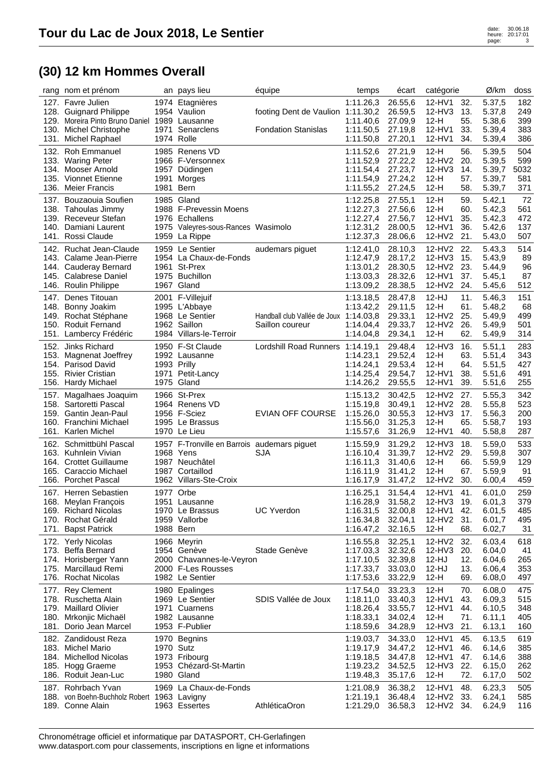|              | rang nom et prénom                            |                     | an pays lieu                                             | équipe                                 | temps                  | écart              | catégorie        |            | Ø/km             | doss       |
|--------------|-----------------------------------------------|---------------------|----------------------------------------------------------|----------------------------------------|------------------------|--------------------|------------------|------------|------------------|------------|
|              | 127. Favre Julien                             |                     | 1974 Etagnières                                          |                                        | 1:11.26,3              | 26.55,6            | 12-HV1           | 32.        | 5.37,5           | 182        |
|              | 128. Guignard Philippe                        |                     | 1954 Vaulion                                             | footing Dent de Vaulion 1:11.30,2      |                        | 26.59,5            | 12-HV3           | 13.        | 5.37,8           | 249        |
|              | 129. Moreira Pinto Bruno Daniel 1989 Lausanne |                     |                                                          |                                        | 1:11.40,6              | 27.09,9            | $12-H$           | 55.        | 5.38,6           | 399        |
| 130.         | <b>Michel Christophe</b>                      | 1971                | Senarclens                                               | <b>Fondation Stanislas</b>             | 1:11.50,5              | 27.19,8            | 12-HV1           | 33.        | 5.39,4           | 383        |
| 131.         | Michel Raphael                                |                     | 1974 Rolle                                               |                                        | 1:11.50,8              | 27.20,1            | 12-HV1           | 34.        | 5.39,4           | 386        |
| 132.         | <b>Roh Emmanuel</b>                           |                     | 1985 Renens VD                                           |                                        | 1:11.52,6              | 27.21,9            | $12-H$           | 56.        | 5.39,5           | 504        |
|              | 133. Waring Peter                             |                     | 1966 F-Versonnex                                         |                                        | 1:11.52,9              | 27.22,2            | 12-HV2           | 20.        | 5.39,5           | 599        |
|              | 134. Mooser Arnold                            |                     | 1957 Düdingen                                            |                                        | 1:11.54,4              | 27.23,7            | 12-HV3           | 14.        | 5.39,7           | 5032       |
|              | 135. Vionnet Etienne                          | 1991                | Morges                                                   |                                        | 1:11.54,9              | 27.24,2            | $12-H$           | 57.        | 5.39,7           | 581        |
| 136.         | <b>Meier Francis</b>                          | 1981                | Bern                                                     |                                        | 1:11.55,2              | 27.24,5            | $12-H$           | 58.        | 5.39,7           | 371        |
|              | 137. Bouzaouia Soufien                        |                     | 1985 Gland                                               |                                        | 1:12.25,8              | 27.55.1            | $12-H$           | 59.        | 5.42,1           | 72         |
|              | 138. Tahoulas Jimmy                           |                     | 1988 F-Prevessin Moens                                   |                                        | 1:12.27,3              | 27.56,6            | $12-H$           | 60.        | 5.42,3           | 561        |
|              | 139. Receveur Stefan                          |                     | 1976 Echallens                                           |                                        | 1:12.27,4              | 27.56,7            | 12-HV1           | 35.        | 5.42,3           | 472        |
| 140.         | Damiani Laurent                               | 1975                | Valeyres-sous-Rances Wasimolo                            |                                        | 1:12.31,2              | 28.00,5            | 12-HV1           | 36.        | 5.42,6           | 137        |
|              | 141. Rossi Claude                             |                     | 1959 La Rippe                                            |                                        | 1:12.37,3              | 28.06,6            | 12-HV2           | 21.        | 5.43,0           | 507        |
|              | 142. Ruchat Jean-Claude                       |                     | 1959 Le Sentier                                          | audemars piguet                        | 1:12.41,0              | 28.10,3            | 12-HV2           | 22.        | 5.43,3           | 514        |
|              | 143. Calame Jean-Pierre                       |                     | 1954 La Chaux-de-Fonds                                   |                                        | 1:12.47,9              | 28.17,2            | 12-HV3           | 15.        | 5.43,9           | 89         |
|              | 144. Cauderay Bernard                         |                     | 1961 St-Prex                                             |                                        | 1:13.01.2              | 28.30,5            | 12-HV2           | 23.        | 5.44,9           | 96         |
|              | 145. Calabrese Daniel<br>146. Roulin Philippe |                     | 1975 Buchillon                                           |                                        | 1:13.03,3              | 28.32,6<br>28.38,5 | 12-HV1           | 37.<br>24. | 5.45,1           | 87         |
|              |                                               |                     | 1967 Gland                                               |                                        | 1:13.09,2              |                    | 12-HV2           |            | 5.45,6           | 512        |
| 147.         | Denes Titouan                                 |                     | 2001 F-Villejuif                                         |                                        | 1:13.18,5              | 28.47,8            | 12-HJ            | 11.        | 5.46,3           | 151        |
| 148.         | Bonny Joakim                                  |                     | 1995 L'Abbaye                                            |                                        | 1:13.42,2              | 29.11,5            | $12-H$           | 61.        | 5.48,2           | 68         |
|              | 149. Rochat Stéphane                          |                     | 1968 Le Sentier<br>1962 Saillon                          | Handball club Vallée de Joux 1:14.03,8 |                        | 29.33,1            | 12-HV2           | 25.        | 5.49,9           | 499        |
| 150.<br>151. | <b>Roduit Fernand</b><br>Lambercy Frédéric    |                     | 1984 Villars-le-Terroir                                  | Saillon coureur                        | 1:14.04,4<br>1:14.04,8 | 29.33,7<br>29.34,1 | 12-HV2<br>$12-H$ | 26.<br>62. | 5.49,9<br>5.49,9 | 501<br>314 |
|              |                                               |                     |                                                          |                                        |                        |                    |                  |            |                  |            |
|              | 152. Jinks Richard                            |                     | 1950 F-St Claude                                         | Lordshill Road Runners 1:14.19,1       |                        | 29.48,4            | $12-HV3$         | 16.        | 5.51,1           | 283        |
|              | 153. Magnenat Joeffrey                        |                     | 1992 Lausanne                                            |                                        | 1:14.23,1              | 29.52,4            | $12-H$           | 63.        | 5.51,4           | 343        |
| 154.         | Parisod David<br>155. Rivier Cristian         | 1993 Prilly<br>1971 | Petit-Lancy                                              |                                        | 1:14.24,1<br>1:14.25,4 | 29.53,4<br>29.54,7 | $12-H$<br>12-HV1 | 64.<br>38. | 5.51,5<br>5.51,6 | 427<br>491 |
| 156.         | Hardy Michael                                 | 1975                | Gland                                                    |                                        | 1:14.26,2              | 29.55,5            | 12-HV1           | 39.        | 5.51,6           | 255        |
|              |                                               |                     |                                                          |                                        |                        |                    |                  |            |                  |            |
| 157.         | Magalhaes Joaquim<br>158. Sartoretti Pascal   |                     | 1966 St-Prex<br>1964 Renens VD                           |                                        | 1:15.13,2              | 30.42,5            | 12-HV2<br>12-HV2 | 27.<br>28. | 5.55,3           | 342<br>523 |
|              | 159. Gantin Jean-Paul                         |                     | 1956 F-Sciez                                             | <b>EVIAN OFF COURSE</b>                | 1:15.19,8<br>1:15.26,0 | 30.49,1<br>30.55,3 | 12-HV3           | 17.        | 5.55,8<br>5.56,3 | 200        |
|              | 160. Franchini Michael                        |                     | 1995 Le Brassus                                          |                                        | 1:15.56,0              | 31.25,3            | $12-H$           | 65.        | 5.58,7           | 193        |
|              | 161. Karlen Michel                            |                     | 1970 Le Lieu                                             |                                        | 1:15.57,6              | 31.26,9            | 12-HV1           | 40.        | 5.58,8           | 287        |
|              | 162. Schmittbühl Pascal                       |                     |                                                          |                                        |                        |                    |                  |            |                  |            |
|              | 163. Kuhnlein Vivian                          |                     | 1957 F-Tronville en Barrois audemars piguet<br>1968 Yens | <b>SJA</b>                             | 1:15.59,9<br>1:16.10,4 | 31.29,2<br>31.39,7 | 12-HV3<br>12-HV2 | 18.<br>29. | 5.59,0<br>5.59,8 | 533<br>307 |
|              | 164. Crottet Guillaume                        |                     | 1987 Neuchâtel                                           |                                        | 1:16.11,3              | 31.40,6            | $12-H$           | 66.        | 5.59,9           | 129        |
|              | 165. Caraccio Michael                         |                     | 1987 Cortaillod                                          |                                        | 1:16.11,9              | 31.41,2            | $12-H$           | 67.        | 5.59,9           | 91         |
|              | 166. Porchet Pascal                           |                     | 1962 Villars-Ste-Croix                                   |                                        | 1:16.17,9              | 31.47,2            | 12-HV2           | 30.        | 6.00,4           | 459        |
| 167.         | Herren Sebastien                              |                     | 1977 Orbe                                                |                                        | 1:16.25,1              | 31.54,4            | 12-HV1           | 41.        | 6.01,0           | 259        |
|              | 168. Meylan François                          |                     | 1951 Lausanne                                            |                                        | 1:16.28,9              | 31.58,2            | 12-HV3 19.       |            | 6.01,3           | 379        |
|              | 169. Richard Nicolas                          |                     | 1970 Le Brassus                                          | <b>UC Yverdon</b>                      | 1:16.31,5              | 32.00,8            | 12-HV1           | 42.        | 6.01,5           | 485        |
|              | 170. Rochat Gérald                            |                     | 1959 Vallorbe                                            |                                        | 1:16.34,8              | 32.04,1            | 12-HV2           | 31.        | 6.01,7           | 495        |
|              | 171. Bapst Patrick                            | 1988 Bern           |                                                          |                                        | 1:16.47,2              | 32.16,5            | $12-H$           | 68.        | 6.02,7           | 31         |
|              | 172. Yerly Nicolas                            |                     | 1966 Meyrin                                              |                                        | 1:16.55,8              | 32.25,1            | 12-HV2           | 32.        | 6.03,4           | 618        |
|              | 173. Beffa Bernard                            |                     | 1954 Genève                                              | Stade Genève                           | 1:17.03,3              | 32.32,6            | $12-HV3$         | 20.        | 6.04,0           | 41         |
|              | 174. Horisberger Yann                         |                     | 2000 Chavannes-le-Veyron                                 |                                        | 1:17.10,5              | 32.39,8            | $12-HJ$          | 12.        | 6.04,6           | 265        |
| 175.         | Marcillaud Remi                               |                     | 2000 F-Les Rousses                                       |                                        | 1:17.33,7              | 33.03,0            | $12-HJ$          | 13.        | 6.06,4           | 353        |
|              | 176. Rochat Nicolas                           |                     | 1982 Le Sentier                                          |                                        | 1:17.53,6              | 33.22,9            | $12-H$           | 69.        | 6.08,0           | 497        |
|              | 177. Rey Clement                              |                     | 1980 Epalinges                                           |                                        | 1:17.54,0              | 33.23,3            | $12-H$           | 70.        | 6.08,0           | 475        |
|              | 178. Ruschetta Alain                          |                     | 1969 Le Sentier                                          | SDIS Vallée de Joux                    | 1:18.11,0              | 33.40,3            | 12-HV1           | 43.        | 6.09,3           | 515        |
|              | 179. Maillard Olivier                         |                     | 1971 Cuarnens                                            |                                        | 1:18.26,4              | 33.55,7            | 12-HV1           | 44.        | 6.10,5           | 348        |
| 180.         | Mrkonjic Michaël                              |                     | 1982 Lausanne                                            |                                        | 1:18.33,1              | 34.02,4            | $12-H$           | 71.        | 6.11,1           | 405        |
|              | 181. Dorio Jean Marcel                        |                     | 1953 F-Publier                                           |                                        | 1:18.59,6              | 34.28,9            | $12-HV3$         | 21.        | 6.13,1           | 160        |
|              | 182. Zandidoust Reza                          |                     | 1970 Begnins                                             |                                        | 1:19.03,7              | 34.33,0            | 12-HV1           | 45.        | 6.13,5           | 619        |
|              | 183. Michel Mario                             | 1970 Sutz           |                                                          |                                        | 1:19.17,9              | 34.47,2            | 12-HV1           | 46.        | 6.14,6           | 385        |
|              | 184. Michellod Nicolas                        |                     | 1973 Fribourg                                            |                                        | 1:19.18,5              | 34.47,8            | 12-HV1           | 47.        | 6.14,6           | 388        |
|              | 185. Hogg Graeme                              |                     | 1953 Chézard-St-Martin                                   |                                        | 1:19.23,2              | 34.52,5            | 12-HV3           | 22.        | 6.15,0           | 262        |
| 186.         | Roduit Jean-Luc                               |                     | 1980 Gland                                               |                                        | 1:19.48,3              | 35.17,6            | $12-H$           | 72.        | 6.17,0           | 502        |
|              | 187. Rohrbach Yvan                            |                     | 1969 La Chaux-de-Fonds                                   |                                        | 1:21.08,9              | 36.38,2            | 12-HV1           | 48.        | 6.23,3           | 505        |
|              | 188. von Boehn-Buchholz Robert 1963 Lavigny   |                     |                                                          |                                        | 1:21.19,1              | 36.48,4            | 12-HV2           | 33.        | 6.24,1           | 585        |
|              | 189. Conne Alain                              |                     | 1963 Essertes                                            | AthléticaOron                          | 1:21.29,0              | 36.58,3            | 12-HV2           | 34.        | 6.24,9           | 116        |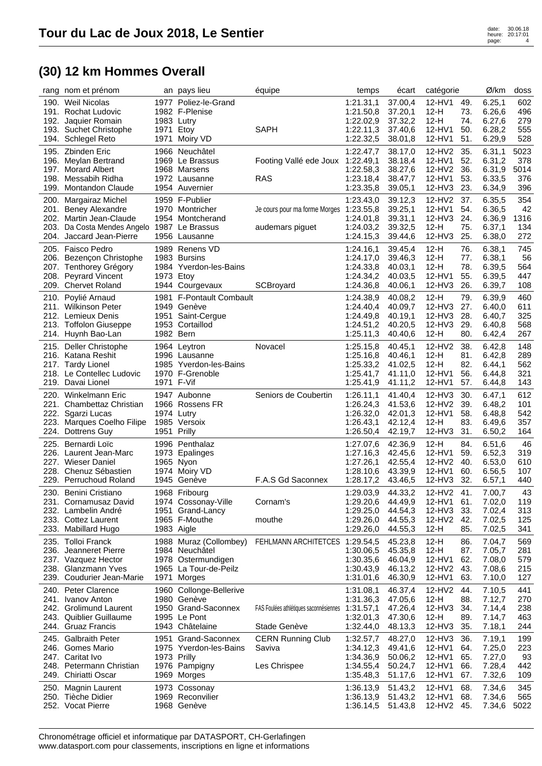| rang                         | nom et prénom                                                                                                                   |                                   | an pays lieu                                                                                           | équipe                                                 | temps                                                                      | écart                                                          | catégorie                                                |                                        | Ø/km                                                     | doss                                     |
|------------------------------|---------------------------------------------------------------------------------------------------------------------------------|-----------------------------------|--------------------------------------------------------------------------------------------------------|--------------------------------------------------------|----------------------------------------------------------------------------|----------------------------------------------------------------|----------------------------------------------------------|----------------------------------------|----------------------------------------------------------|------------------------------------------|
|                              | 190. Weil Nicolas<br>191. Rochat Ludovic<br>192. Jaquier Romain<br>193. Suchet Christophe                                       | 1983 Lutry<br>1971                | 1977 Poliez-le-Grand<br>1982 F-Plenise<br>Etoy                                                         | <b>SAPH</b>                                            | 1:21.31,1<br>1:21.50,8<br>1:22.02,9<br>1:22.11,3                           | 37.00,4<br>37.20,1<br>37.32,2<br>37.40,6                       | 12-HV1<br>12-H<br>$12-H$<br>12-HV1                       | 49.<br>73.<br>74.<br>50.               | 6.25,1<br>6.26,6<br>6.27,6<br>6.28,2                     | 602<br>496<br>279<br>555                 |
| 196.<br>197.<br>198.<br>199. | 194. Schlegel Reto<br>195. Zbinden Eric<br>Meylan Bertrand<br><b>Morard Albert</b><br>Messabih Ridha<br><b>Montandon Claude</b> | 1971                              | Moiry VD<br>1966 Neuchâtel<br>1969 Le Brassus<br>1968 Marsens<br>1972 Lausanne<br>1954 Auvernier       | Footing Vallé ede Joux<br><b>RAS</b>                   | 1:22.32,5<br>1:22.47,7<br>1:22.49,1<br>1:22.58,3<br>1:23.18,4<br>1:23.35,8 | 38.01,8<br>38.17,0<br>38.18,4<br>38.27,6<br>38.47,7<br>39.05,1 | 12-HV1<br>12-HV2<br>12-HV1<br>12-HV2<br>12-HV1<br>12-HV3 | 51.<br>35.<br>52.<br>36.<br>53.<br>23. | 6.29,9<br>6.31,1<br>6.31,2<br>6.31,9<br>6.33,5<br>6.34,9 | 528<br>5023<br>378<br>5014<br>376<br>396 |
| 200.<br>203.                 | Margairaz Michel<br>201. Beney Alexandre<br>202. Martin Jean-Claude<br>Da Costa Mendes Angelo 1987<br>204. Jaccard Jean-Pierre  |                                   | 1959 F-Publier<br>1970 Montricher<br>1954 Montcherand<br>Le Brassus<br>1956 Lausanne                   | Je cours pour ma forme Morges<br>audemars piguet       | 1:23.43,0<br>1:23.55,8<br>1:24.01,8<br>1:24.03,2<br>1:24.15,3              | 39.12,3<br>39.25,1<br>39.31,1<br>39.32,5<br>39.44,6            | 12-HV2<br>12-HV1<br>$12-HV3$<br>$12-H$<br>$12-HV3$       | 37.<br>54.<br>24.<br>75.<br>25.        | 6.35,5<br>6.36,5<br>6.36,9<br>6.37,1<br>6.38,0           | 354<br>42<br>1316<br>134<br>272          |
| 208.                         | 205. Faisco Pedro<br>206. Bezençon Christophe<br>207. Tenthorey Grégory<br><b>Peyrard Vincent</b><br>209. Chervet Roland        | 1989<br>1973                      | Renens VD<br>1983 Bursins<br>1984 Yverdon-les-Bains<br>Etoy<br>1944 Courgevaux                         | SCBroyard                                              | 1:24.16,1<br>1:24.17,0<br>1:24.33,8<br>1:24.34,2<br>1:24.36,8              | 39.45,4<br>39.46,3<br>40.03,1<br>40.03,5<br>40.06,1            | $12-H$<br>$12-H$<br>$12-H$<br>12-HV1<br>12-HV3           | 76.<br>77.<br>78.<br>55.<br>26.        | 6.38,1<br>6.38,1<br>6.39,5<br>6.39,5<br>6.39,7           | 745<br>56<br>564<br>447<br>108           |
| 210.                         | Poylié Arnaud<br>211. Wilkinson Peter<br>212. Lemieux Denis<br>213. Toffolon Giuseppe<br>214. Huynh Bao-Lan                     | 1981<br>1951<br>1953<br>1982 Bern | <b>F-Pontault Combault</b><br>1949 Genève<br>Saint-Cergue<br>Cortaillod                                |                                                        | 1:24.38,9<br>1:24.40,4<br>1:24.49.8<br>1:24.51,2<br>1:25.11,3              | 40.08,2<br>40.09,7<br>40.19.1<br>40.20,5<br>40.40,6            | $12-H$<br>$12-HV3$<br>$12-HV3$<br>$12-HV3$<br>$12-H$     | 79.<br>27.<br>28.<br>29.<br>80.        | 6.39,9<br>6.40,0<br>6.40,7<br>6.40,8<br>6.42,4           | 460<br>611<br>325<br>568<br>267          |
|                              | 215. Deller Christophe<br>216. Katana Reshit<br>217. Tardy Lionel<br>218. Le Contellec Ludovic<br>219. Davai Lionel             | 1971 F-Vif                        | 1964 Leytron<br>1996 Lausanne<br>1985 Yverdon-les-Bains<br>1970 F-Grenoble                             | Novacel                                                | 1:25.15,8<br>1:25.16,8<br>1:25.33,2<br>1:25.41,7<br>1:25.41,9              | 40.45,1<br>40.46,1<br>41.02,5<br>41.11,0<br>41.11,2            | 12-HV2<br>$12-H$<br>$12-H$<br>12-HV1<br>12-HV1           | 38.<br>81.<br>82.<br>56.<br>57.        | 6.42,8<br>6.42,8<br>6.44,1<br>6.44,8<br>6.44,8           | 148<br>289<br>562<br>321<br>143          |
| 221.<br>222.                 | 220. Winkelmann Eric<br>Chambettaz Christian<br>Sgarzi Lucas<br>223. Marques Coelho Filipe<br>224. Dottrens Guy                 | 1974 Lutry<br>1951                | 1947 Aubonne<br>1966 Rossens FR<br>1985 Versoix<br>Prilly                                              | Seniors de Coubertin                                   | 1:26.11,1<br>1:26.24,3<br>1:26.32,0<br>1:26.43,1<br>1:26.50,4              | 41.40,4<br>41.53,6<br>42.01,3<br>42.12,4<br>42.19,7            | 12-HV3<br>12-HV2<br>12-HV1<br>$12-H$<br>12-HV3           | 30.<br>39.<br>58.<br>83.<br>31.        | 6.47,1<br>6.48,2<br>6.48,8<br>6.49,6<br>6.50,2           | 612<br>101<br>542<br>357<br>164          |
|                              | 225. Bernardi Loïc<br>226. Laurent Jean-Marc<br>227. Wieser Daniel<br>228. Chenuz Sébastien<br>229. Perruchoud Roland           | 1973<br>1945                      | 1996 Penthalaz<br>Epalinges<br>1965 Nyon<br>1974 Moiry VD<br>Genève                                    | F.A.S Gd Saconnex                                      | 1:27.07.6<br>1:27.16,3<br>1:27.26,1<br>1:28.10,6<br>1:28.17,2              | 42.36,9<br>42.45,6<br>42.55,4<br>43.39,9<br>43.46,5            | $12-H$<br>12-HV1<br>12-HV2<br>12-HV1<br>12-HV3           | 84.<br>59.<br>40.<br>60.<br>32.        | 6.51,6<br>6.52,3<br>6.53,0<br>6.56,5<br>6.57,1           | 46<br>319<br>610<br>107<br>440           |
| 230.                         | <b>Benini Cristiano</b><br>231. Cornamusaz David<br>232. Lambelin André<br>233. Cottez Laurent<br>233. Mabillard Hugo           | 1968<br>1983 Aigle                | Fribourg<br>1974 Cossonay-Ville<br>1951 Grand-Lancy<br>1965 F-Mouthe                                   | Cornam's<br>mouthe                                     | 1:29.03,9<br>1:29.20,6<br>1:29.25,0<br>1:29.26,0<br>1:29.26,0              | 44.33,2<br>44.49,9<br>44.54,3<br>44.55,3<br>44.55,3            | 12-HV2<br>12-HV1<br>12-HV3<br>12-HV2<br>$12-H$           | 41.<br>61.<br>33.<br>42.<br>85.        | 7.00,7<br>7.02,0<br>7.02,4<br>7.02,5<br>7.02,5           | 43<br>119<br>313<br>125<br>341           |
|                              | 235. Tolloi Franck<br>236. Jeanneret Pierre<br>237. Vazquez Hector<br>238. Glanzmann Yves<br>239. Coudurier Jean-Marie          |                                   | 1988 Muraz (Collombey)<br>1984 Neuchâtel<br>1978 Ostermundigen<br>1965 La Tour-de-Peilz<br>1971 Morges | FEHLMANN ARCHITETCES 1:29.54,5                         | 1:30.06,5<br>1:30.35,6<br>1:30.43,9<br>1:31.01,6                           | 45.23,8<br>45.35,8<br>46.04,9<br>46.13,2<br>46.30,9            | $12-H$<br>$12-H$<br>12-HV1<br>12-HV2<br>12-HV1           | 86.<br>87.<br>62.<br>43.<br>63.        | 7.04,7<br>7.05,7<br>7.08,0<br>7.08,6<br>7.10,0           | 569<br>281<br>579<br>215<br>127          |
|                              | 240. Peter Clarence<br>241. Ivanov Anton<br>242. Grolimund Laurent<br>243. Quiblier Guillaume<br>244. Gruaz Francis             |                                   | 1960 Collonge-Bellerive<br>1980 Genève<br>1950 Grand-Saconnex<br>1995 Le Pont<br>1943 Châtelaine       | FAS Foulées athlétiques saconnésiennes<br>Stade Genève | 1:31.08,1<br>1:31.36,3<br>1:31.57,1<br>1:32.01,3<br>1:32.44,0              | 46.37,4<br>47.05,6<br>47.26,4<br>47.30,6<br>48.13,3            | 12-HV2<br>$12-H$<br>12-HV3<br>$12-H$<br>12-HV3           | 44.<br>88.<br>34.<br>89.<br>35.        | 7.10,5<br>7.12,7<br>7.14,4<br>7.14,7<br>7.18,1           | 441<br>270<br>238<br>463<br>244          |
|                              | 245. Galbraith Peter<br>246. Gomes Mario<br>247. Caritat Ivo<br>248. Petermann Christian<br>249. Chiriatti Oscar                | 1951<br>1973 Prilly               | Grand-Saconnex<br>1975 Yverdon-les-Bains<br>1976 Pampigny<br>1969 Morges                               | <b>CERN Running Club</b><br>Saviva<br>Les Chrispee     | 1:32.57,7<br>1:34.12,3<br>1:34.36,9<br>1:34.55,4<br>1:35.48,3              | 48.27,0<br>49.41,6<br>50.06,2<br>50.24,7<br>51.17,6            | $12-HV3$<br>12-HV1<br>12-HV1<br>$12-HV1$<br>12-HV1       | 36.<br>64.<br>65.<br>66.<br>67.        | 7.19,1<br>7.25,0<br>7.27,0<br>7.28,4<br>7.32,6           | 199<br>223<br>93<br>442<br>109           |
|                              | 250. Magnin Laurent<br>250. Tièche Didier<br>252. Vocat Pierre                                                                  |                                   | 1973 Cossonay<br>1969 Reconvilier<br>1968 Genève                                                       |                                                        | 1:36.13,9<br>1:36.13,9<br>1:36.14,5                                        | 51.43,2<br>51.43,2<br>51.43,8                                  | 12-HV1<br>12-HV1<br>12-HV2                               | 68.<br>68.<br>45.                      | 7.34,6<br>7.34,6<br>7.34,6                               | 345<br>565<br>5022                       |